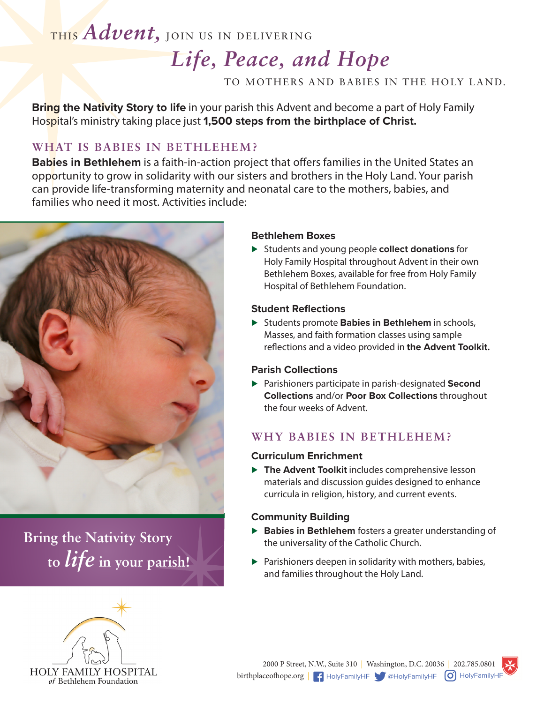# THIS *Advent,* JOIN US IN DELIVERING

# *Life, Peace, and Hope*

TO MOTHERS AND BABIES IN THE HOLY LAND.

**Bring the Nativity Story to life** in your parish this Advent and become a part of Holy Family Hospital's ministry taking place just **1,500 steps from the birthplace of Christ.**

# **WHAT IS BABIES IN BETHLEHEM?**

**Babies in Bethlehem** is a faith-in-action project that offers families in the United States an opportunity to grow in solidarity with our sisters and brothers in the Holy Land. Your parish can provide life-transforming maternity and neonatal care to the mothers, babies, and families who need it most. Activities include:



**Bring the Nativity Story to** *life* **in your parish!**



## **Bethlehem Boxes**

⊲ Students and young people **collect donations** for Holy Family Hospital throughout Advent in their own Bethlehem Boxes, available for free from Holy Family Hospital of Bethlehem Foundation.

## **Student Reflections**

► Students promote **Babies in Bethlehem** in schools, Masses, and faith formation classes using sample reflections and a video provided in **the Advent Toolkit.**

## **Parish Collections**

⊲ Parishioners participate in parish-designated **Second Collections** and/or **Poor Box Collections** throughout the four weeks of Advent.

## **WHY BABIES IN BETHLEHEM?**

## **Curriculum Enrichment**

▶ The Advent Toolkit includes comprehensive lesson materials and discussion guides designed to enhance curricula in religion, history, and current events.

## **Community Building**

- ▶ **Babies in Bethlehem** fosters a greater understanding of the universality of the Catholic Church.
- ▶ Parishioners deepen in solidarity with mothers, babies, and families throughout the Holy Land.